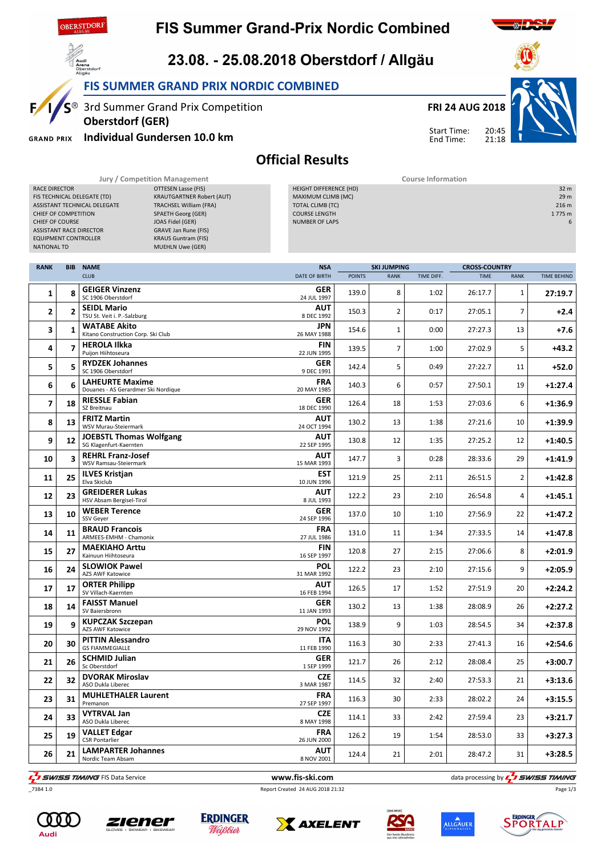

### **FIS Summer Grand-Prix Nordic Combined**



E

**GRAND PRIX** 

#### 23.08. - 25.08.2018 Oberstdorf / Allgäu

FIS SUMMER GRAND PRIX NORDIC COMBINED

S<sup>®</sup> 3rd Summer Grand Prix Competition

Individual Gundersen 10.0 km

## FRI 24 AUG 2018



20:45 21:18 Start Time: End Time:



Jury / Competition Management **Course Information** Course Information RACE DIRECTOR **CONTROLL CONTROLL CONTROLL CONTROLL CONTROLL CONTROLL CONTROLL CONTROLL CONTROLL CONTROLL CONTR**<br>FISTECHNICAL DELEGATE (TD) KRAUTGARTNER Robert (AUT) FIS TECHNICAL DELEGATE (TD) KRAUTGARTNER Robert (ASSISTANT TECHNICAL DELEGATE TRACHSEL William (FRA) ASSISTANT TECHNICAL DELEGATE CHIEF OF COMPETITION SPAETH Georg (GER) CHIEF OF COURSE JOAS Fidel (GER) ASSISTANT RACE DIRECTOR GRAVE Jan Rune (FIS) EQUIPMENT CONTROLLER KRAUS Guntram (FIS) NATIONAL TD MUEHLN Uwe (GER)

Oberstdorf (GER)

HEIGHT DIFFERENCE (HD) 32 m MAXIMUM CLIMB (MC) 29 m<br>TOTAL CLIMB (TC) 216 m TOTAL CLIMB (TC) COURSE LENGTH **1775** m NUMBER OF LAPS 6

| <b>RANK</b> | <b>BIB</b> | <b>NAME</b><br><b>NSA</b>                                                                  |               | <b>SKI JUMPING</b> |            | <b>CROSS-COUNTRY</b> |                |                                                                              |  |  |  |  |  |  |  |  |
|-------------|------------|--------------------------------------------------------------------------------------------|---------------|--------------------|------------|----------------------|----------------|------------------------------------------------------------------------------|--|--|--|--|--|--|--|--|
|             |            | <b>CLUB</b><br>DATE OF BIRTH                                                               | <b>POINTS</b> | <b>RANK</b>        | TIME DIFF. | <b>TIME</b>          | <b>RANK</b>    | <b>TIME BEHIND</b>                                                           |  |  |  |  |  |  |  |  |
| 1           | 8          | <b>GEIGER Vinzenz</b><br>GER<br>SC 1906 Oberstdorf<br>24 JUL 1997                          | 139.0         | 8                  | 1:02       | 26:17.7              | $\mathbf{1}$   | 27:19.7                                                                      |  |  |  |  |  |  |  |  |
| 2           | 2          | <b>SEIDL Mario</b><br><b>AUT</b><br>TSU St. Veit i. P.-Salzburg<br>8 DEC 1992              | 150.3         | $\overline{2}$     | 0:17       | 27:05.1              | $\overline{7}$ | $+2.4$                                                                       |  |  |  |  |  |  |  |  |
| 3           | 1          | <b>WATABE Akito</b><br><b>JPN</b><br>26 MAY 1988<br>Kitano Construction Corp. Ski Club     | 154.6         | 1                  | 0:00       | 27:27.3              | 13             | $+7.6$                                                                       |  |  |  |  |  |  |  |  |
| 4           | 7          | <b>HEROLA Ilkka</b><br><b>FIN</b><br>Puijon Hiihtoseura<br>22 JUN 1995                     | 139.5         | $\overline{7}$     | 1:00       | 27:02.9              | 5              | +43.2                                                                        |  |  |  |  |  |  |  |  |
| 5           | 5          | <b>RYDZEK Johannes</b><br>GER<br>SC 1906 Oberstdorf<br>9 DEC 1991                          | 142.4         | 5                  | 0:49       | 27:22.7              | 11             | +52.0                                                                        |  |  |  |  |  |  |  |  |
| 6           | 6          | <b>LAHEURTE Maxime</b><br><b>FRA</b><br>Douanes - AS Gerardmer Ski Nordique<br>20 MAY 1985 | 140.3         | 6                  | 0:57       | 27:50.1              | 19             | +1:27.4                                                                      |  |  |  |  |  |  |  |  |
| 7           | 18         | <b>RIESSLE Fabian</b><br>GER<br>18 DEC 1990<br>SZ Breitnau                                 | 126.4         | 18                 | 1:53       | 27:03.6              | 6              | $+1:36.9$                                                                    |  |  |  |  |  |  |  |  |
| 8           | 13         | <b>FRITZ Martin</b><br>AUT<br>WSV Murau-Steiermark<br>24 OCT 1994                          | 130.2         | 13                 | 1:38       | 27:21.6              | 10             | +1:39.9                                                                      |  |  |  |  |  |  |  |  |
| 9           | 12         | <b>JOEBSTL Thomas Wolfgang</b><br>AUT<br>SG Klagenfurt-Kaernten<br>22 SEP 1995             | 130.8         | 12                 | 1:35       | 27:25.2              | 12             | +1:40.5                                                                      |  |  |  |  |  |  |  |  |
| 10          | 3          | <b>REHRL Franz-Josef</b><br><b>AUT</b><br>WSV Ramsau-Steiermark<br>15 MAR 1993             | 147.7         | 3                  | 0:28       | 28:33.6              | 29             | $+1:41.9$                                                                    |  |  |  |  |  |  |  |  |
| 11          | 25         | <b>ILVES Kristjan</b><br><b>EST</b><br>Elva Skiclub<br>10 JUN 1996                         | 121.9         | 25                 | 2:11       | 26:51.5              | $\overline{2}$ | +1:42.8                                                                      |  |  |  |  |  |  |  |  |
| 12          | 23         | <b>GREIDERER Lukas</b><br><b>AUT</b><br>HSV Absam Bergisel-Tirol<br>8 JUL 1993             | 122.2         | 23                 | 2:10       | 26:54.8              | $\overline{4}$ | $+1:45.1$                                                                    |  |  |  |  |  |  |  |  |
| 13          | 10         | <b>WEBER Terence</b><br><b>GER</b><br>SSV Geyer<br>24 SEP 1996                             | 137.0         | 10                 | 1:10       | 27:56.9              | 22             | +1:47.2                                                                      |  |  |  |  |  |  |  |  |
| 14          | 11         | <b>BRAUD Francois</b><br><b>FRA</b><br>ARMEES-EMHM - Chamonix<br>27 JUL 1986               | 131.0         | 11                 | 1:34       | 27:33.5              | 14             | $+1:47.8$                                                                    |  |  |  |  |  |  |  |  |
| 15          | 27         | <b>MAEKIAHO Arttu</b><br><b>FIN</b><br>Kainuun Hiihtoseura<br>16 SEP 1997                  | 120.8         | 27                 | 2:15       | 27:06.6              | 8              | +2:01.9                                                                      |  |  |  |  |  |  |  |  |
| 16          | 24         | <b>SLOWIOK Pawel</b><br><b>POL</b><br>AZS AWF Katowice<br>31 MAR 1992                      | 122.2         | 23                 | 2:10       | 27:15.6              | 9              | $+2:05.9$                                                                    |  |  |  |  |  |  |  |  |
| 17          | 17         | <b>ORTER Philipp</b><br>AUT<br>SV Villach-Kaernten<br>16 FEB 1994                          | 126.5         | 17                 | 1:52       | 27:51.9              | 20             | +2:24.2                                                                      |  |  |  |  |  |  |  |  |
| 18          | 14         | <b>FAISST Manuel</b><br>GER<br>SV Baiersbronn<br>11 JAN 1993                               | 130.2         | 13                 | 1:38       | 28:08.9              | 26             | $+2:27.2$                                                                    |  |  |  |  |  |  |  |  |
| 19          | 9          | <b>POL</b><br><b>KUPCZAK Szczepan</b><br>AZS AWF Katowice<br>29 NOV 1992                   | 138.9         | 9                  | 1:03       | 28:54.5              | 34             | +2:37.8                                                                      |  |  |  |  |  |  |  |  |
| 20          | 30         | <b>PITTIN Alessandro</b><br><b>ITA</b><br><b>GS FIAMMEGIALLE</b><br>11 FEB 1990            | 116.3         | 30                 | 2:33       | 27:41.3              | 16             | +2:54.6                                                                      |  |  |  |  |  |  |  |  |
| 21          | 26         | <b>SCHMID Julian</b><br><b>GER</b><br>Sc Oberstdorf<br>1 SEP 1999                          | 121.7         | 26                 | 2:12       | 28:08.4              | 25             | +3:00.7                                                                      |  |  |  |  |  |  |  |  |
| 22          | 32         | <b>DVORAK Miroslav</b><br>CZE<br>ASO Dukla Liberec<br>3 MAR 1987                           | 114.5         | 32                 | 2:40       | 27:53.3              | 21             | $+3:13.6$                                                                    |  |  |  |  |  |  |  |  |
| 23          | 31         | <b>MUHLETHALER Laurent</b><br>FRA<br>Premanon<br>27 SEP 1997                               | 116.3         | 30                 | 2:33       | 28:02.2              | 24             | +3:15.5                                                                      |  |  |  |  |  |  |  |  |
| 24          | 33         | <b>VYTRVAL Jan</b><br><b>CZE</b><br>ASO Dukla Liberec<br>8 MAY 1998                        | 114.1         | 33                 | 2:42       | 27:59.4              | 23             | +3:21.7                                                                      |  |  |  |  |  |  |  |  |
| 25          | 19         | <b>VALLET Edgar</b><br>FRA<br><b>CSR Pontarlier</b><br>26 JUN 2000                         | 126.2         | 19                 | 1:54       | 28:53.0              | 33             | $+3:27.3$                                                                    |  |  |  |  |  |  |  |  |
| 26          | 21         | AUT<br><b>LAMPARTER Johannes</b><br>Nordic Team Absam<br>8 NOV 2001                        | 124.4         | 21                 | 2:01       | 28:47.2              | 31             | +3:28.5                                                                      |  |  |  |  |  |  |  |  |
|             |            | www.fis-ski.com                                                                            |               |                    |            |                      |                | LA SWISS TIMING FIS Data Service<br>data processing by <b>T</b> SWISS TIMING |  |  |  |  |  |  |  |  |

\_73B4 1.0 Report Created 24 AUG 2018 21:32

 $\overbrace{ }$ 



Page 1/3







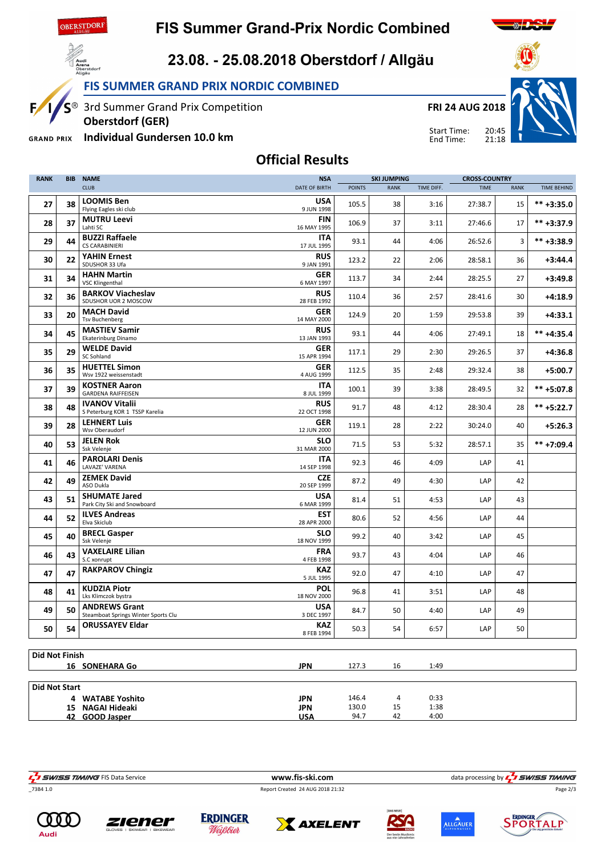#### OBERSTDORF

### **FIS Summer Grand-Prix Nordic Combined**



E

**GRAND PRIX** 

### 23.08. - 25.08.2018 Oberstdorf / Allgäu

FIS SUMMER GRAND PRIX NORDIC COMBINED

S<sup>®</sup> 3rd Summer Grand Prix Competition

Individual Gundersen 10.0 km

Oberstdorf (GER)

# FRI 24 AUG 2018



20:45 21:18 Start Time: End Time:

### Official Results

| <b>CLUB</b><br><b>DATE OF BIRTH</b><br><b>POINTS</b><br><b>RANK</b><br>TIME DIFF.<br><b>TIME</b><br><b>RANK</b><br><b>LOOMIS Ben</b><br>USA<br>38<br>27<br>105.5<br>38<br>27:38.7<br>3:16<br>15<br>Flying Eagles ski club<br>9 JUN 1998<br><b>MUTRU Leevi</b><br><b>FIN</b><br>37<br>28<br>106.9<br>37<br>27:46.6<br>17<br>3:11<br>Lahti SC<br>16 MAY 1995<br><b>BUZZI Raffaele</b><br><b>ITA</b><br>44<br>93.1<br>3<br>29<br>44<br>4:06<br>26:52.6<br><b>CS CARABINIERI</b><br>17 JUL 1995<br><b>YAHIN Ernest</b><br><b>RUS</b><br>22<br>30<br>123.2<br>22<br>2:06<br>28:58.1<br>36<br>SDUSHOR 33 Ufa<br>9 JAN 1991<br><b>HAHN Martin</b><br>GER<br>34<br>31<br>27<br>113.7<br>34<br>2:44<br>28:25.5<br><b>VSC Klingenthal</b><br>6 MAY 1997<br><b>BARKOV Viacheslav</b><br><b>RUS</b><br>36<br>32<br>110.4<br>36<br>2:57<br>28:41.6<br>30<br>SDUSHOR UOR 2 MOSCOW<br>28 FEB 1992<br><b>MACH David</b><br>GER<br>33<br>20<br>124.9<br>20<br>1:59<br>29:53.8<br>39<br><b>Tsv Buchenberg</b><br>14 MAY 2000<br><b>MASTIEV Samir</b><br><b>RUS</b><br>45<br>34<br>93.1<br>44<br>4:06<br>27:49.1<br>18<br><b>Ekaterinburg Dinamo</b><br>13 JAN 1993<br><b>WELDE David</b><br><b>GER</b><br>35<br>29<br>117.1<br>29<br>2:30<br>29:26.5<br>37<br>SC Sohland<br>15 APR 1994<br><b>HUETTEL Simon</b><br>GER<br>35<br>36<br>112.5<br>35<br>2:48<br>29:32.4<br>38<br>Wsv 1922 weissenstadt<br>4 AUG 1999<br><b>KOSTNER Aaron</b><br>ITA<br>37<br>39<br>100.1<br>39<br>3:38<br>28:49.5<br>32<br><b>GARDENA RAIFFEISEN</b><br>8 JUL 1999<br><b>IVANOV Vitalii</b><br><b>RUS</b><br>38<br>48<br>91.7<br>48<br>4:12<br>28:30.4<br>28<br>S Peterburg KOR 1 TSSP Karelia<br>22 OCT 1998<br><b>LEHNERT Luis</b><br><b>GER</b><br>119.1<br>40<br>39<br>28<br>28<br>2:22<br>30:24.0<br>Wsv Oberaudorf<br>12 JUN 2000<br><b>JELEN Rok</b><br>SLO<br>40<br>53<br>71.5<br>35<br>53<br>5:32<br>28:57.1<br>Ssk Velenje<br>31 MAR 2000<br><b>PAROLARI Denis</b><br><b>ITA</b><br>46<br>41<br>LAP<br>92.3<br>46<br>4:09<br>41<br>LAVAZE' VARENA<br>14 SEP 1998<br><b>ZEMEK David</b><br><b>CZE</b><br>49<br>42<br>87.2<br>49<br>4:30<br>LAP<br>42<br>ASO Dukla<br>20 SEP 1999<br><b>SHUMATE Jared</b><br>USA<br>43<br>51<br>81.4<br>51<br>4:53<br>LAP<br>43<br>Park City Ski and Snowboard<br>6 MAR 1999<br><b>ILVES Andreas</b><br><b>EST</b><br>52<br>44<br>80.6<br>52<br>4:56<br>LAP<br>44<br>Elva Skiclub<br>28 APR 2000<br><b>BRECL Gasper</b><br>SLO<br>45<br>40<br>99.2<br>40<br>3:42<br>LAP<br>45<br>Ssk Velenje<br>18 NOV 1999<br><b>VAXELAIRE Lilian</b><br><b>FRA</b><br>46<br>43<br>93.7<br>43<br>4:04<br>LAP<br>46<br>S.C xonrupt<br>4 FEB 1998<br><b>RAKPAROV Chingiz</b><br>KAZ<br>47<br>92.0<br>LAP<br>47<br>47<br>47<br>4:10<br>5 JUL 1995<br><b>KUDZIA Piotr</b><br>POL<br>41<br>48<br>96.8<br>LAP<br>48<br>41<br>3:51<br>Lks Klimczok bystra<br>18 NOV 2000<br><b>ANDREWS Grant</b><br><b>USA</b><br>49<br>50<br>84.7<br>LAP<br>49<br>50<br>4:40<br>Steamboat Springs Winter Sports Clu<br>3 DEC 1997<br><b>ORUSSAYEV Eldar</b><br>KAZ<br>54<br>50<br>50<br>50.3<br>54<br>6:57<br>LAP<br>8 FEB 1994<br><b>Did Not Finish</b><br>127.3<br>16<br>1:49<br><b>16 SONEHARA Go</b><br><b>JPN</b><br><b>Did Not Start</b><br>146.4<br>4<br>0:33<br>4 WATABE Yoshito<br><b>JPN</b> | <b>RANK</b> | <b>BIB</b> | <b>NAME</b><br><b>NSA</b> |  | <b>SKI JUMPING</b> |  | <b>CROSS-COUNTRY</b> |  |  |                    |
|----------------------------------------------------------------------------------------------------------------------------------------------------------------------------------------------------------------------------------------------------------------------------------------------------------------------------------------------------------------------------------------------------------------------------------------------------------------------------------------------------------------------------------------------------------------------------------------------------------------------------------------------------------------------------------------------------------------------------------------------------------------------------------------------------------------------------------------------------------------------------------------------------------------------------------------------------------------------------------------------------------------------------------------------------------------------------------------------------------------------------------------------------------------------------------------------------------------------------------------------------------------------------------------------------------------------------------------------------------------------------------------------------------------------------------------------------------------------------------------------------------------------------------------------------------------------------------------------------------------------------------------------------------------------------------------------------------------------------------------------------------------------------------------------------------------------------------------------------------------------------------------------------------------------------------------------------------------------------------------------------------------------------------------------------------------------------------------------------------------------------------------------------------------------------------------------------------------------------------------------------------------------------------------------------------------------------------------------------------------------------------------------------------------------------------------------------------------------------------------------------------------------------------------------------------------------------------------------------------------------------------------------------------------------------------------------------------------------------------------------------------------------------------------------------------------------------------------------------------------------------------------------------------------------------------------------------------------------------------------------------------------------------------------------------------------------------------------------------------------------------------------------------------------------------------------------------------------------------------------------------------------------|-------------|------------|---------------------------|--|--------------------|--|----------------------|--|--|--------------------|
|                                                                                                                                                                                                                                                                                                                                                                                                                                                                                                                                                                                                                                                                                                                                                                                                                                                                                                                                                                                                                                                                                                                                                                                                                                                                                                                                                                                                                                                                                                                                                                                                                                                                                                                                                                                                                                                                                                                                                                                                                                                                                                                                                                                                                                                                                                                                                                                                                                                                                                                                                                                                                                                                                                                                                                                                                                                                                                                                                                                                                                                                                                                                                                                                                                                                      |             |            |                           |  |                    |  |                      |  |  | <b>TIME BEHIND</b> |
|                                                                                                                                                                                                                                                                                                                                                                                                                                                                                                                                                                                                                                                                                                                                                                                                                                                                                                                                                                                                                                                                                                                                                                                                                                                                                                                                                                                                                                                                                                                                                                                                                                                                                                                                                                                                                                                                                                                                                                                                                                                                                                                                                                                                                                                                                                                                                                                                                                                                                                                                                                                                                                                                                                                                                                                                                                                                                                                                                                                                                                                                                                                                                                                                                                                                      |             |            |                           |  |                    |  |                      |  |  | $*** +3:35.0$      |
|                                                                                                                                                                                                                                                                                                                                                                                                                                                                                                                                                                                                                                                                                                                                                                                                                                                                                                                                                                                                                                                                                                                                                                                                                                                                                                                                                                                                                                                                                                                                                                                                                                                                                                                                                                                                                                                                                                                                                                                                                                                                                                                                                                                                                                                                                                                                                                                                                                                                                                                                                                                                                                                                                                                                                                                                                                                                                                                                                                                                                                                                                                                                                                                                                                                                      |             |            |                           |  |                    |  |                      |  |  | $*** +3:37.9$      |
|                                                                                                                                                                                                                                                                                                                                                                                                                                                                                                                                                                                                                                                                                                                                                                                                                                                                                                                                                                                                                                                                                                                                                                                                                                                                                                                                                                                                                                                                                                                                                                                                                                                                                                                                                                                                                                                                                                                                                                                                                                                                                                                                                                                                                                                                                                                                                                                                                                                                                                                                                                                                                                                                                                                                                                                                                                                                                                                                                                                                                                                                                                                                                                                                                                                                      |             |            |                           |  |                    |  |                      |  |  | $** + 3:38.9$      |
|                                                                                                                                                                                                                                                                                                                                                                                                                                                                                                                                                                                                                                                                                                                                                                                                                                                                                                                                                                                                                                                                                                                                                                                                                                                                                                                                                                                                                                                                                                                                                                                                                                                                                                                                                                                                                                                                                                                                                                                                                                                                                                                                                                                                                                                                                                                                                                                                                                                                                                                                                                                                                                                                                                                                                                                                                                                                                                                                                                                                                                                                                                                                                                                                                                                                      |             |            |                           |  |                    |  |                      |  |  | +3:44.4            |
|                                                                                                                                                                                                                                                                                                                                                                                                                                                                                                                                                                                                                                                                                                                                                                                                                                                                                                                                                                                                                                                                                                                                                                                                                                                                                                                                                                                                                                                                                                                                                                                                                                                                                                                                                                                                                                                                                                                                                                                                                                                                                                                                                                                                                                                                                                                                                                                                                                                                                                                                                                                                                                                                                                                                                                                                                                                                                                                                                                                                                                                                                                                                                                                                                                                                      |             |            |                           |  |                    |  |                      |  |  | $+3:49.8$          |
|                                                                                                                                                                                                                                                                                                                                                                                                                                                                                                                                                                                                                                                                                                                                                                                                                                                                                                                                                                                                                                                                                                                                                                                                                                                                                                                                                                                                                                                                                                                                                                                                                                                                                                                                                                                                                                                                                                                                                                                                                                                                                                                                                                                                                                                                                                                                                                                                                                                                                                                                                                                                                                                                                                                                                                                                                                                                                                                                                                                                                                                                                                                                                                                                                                                                      |             |            |                           |  |                    |  |                      |  |  | +4:18.9            |
|                                                                                                                                                                                                                                                                                                                                                                                                                                                                                                                                                                                                                                                                                                                                                                                                                                                                                                                                                                                                                                                                                                                                                                                                                                                                                                                                                                                                                                                                                                                                                                                                                                                                                                                                                                                                                                                                                                                                                                                                                                                                                                                                                                                                                                                                                                                                                                                                                                                                                                                                                                                                                                                                                                                                                                                                                                                                                                                                                                                                                                                                                                                                                                                                                                                                      |             |            |                           |  |                    |  |                      |  |  | +4:33.1            |
|                                                                                                                                                                                                                                                                                                                                                                                                                                                                                                                                                                                                                                                                                                                                                                                                                                                                                                                                                                                                                                                                                                                                                                                                                                                                                                                                                                                                                                                                                                                                                                                                                                                                                                                                                                                                                                                                                                                                                                                                                                                                                                                                                                                                                                                                                                                                                                                                                                                                                                                                                                                                                                                                                                                                                                                                                                                                                                                                                                                                                                                                                                                                                                                                                                                                      |             |            |                           |  |                    |  |                      |  |  | $*** +4:35.4$      |
|                                                                                                                                                                                                                                                                                                                                                                                                                                                                                                                                                                                                                                                                                                                                                                                                                                                                                                                                                                                                                                                                                                                                                                                                                                                                                                                                                                                                                                                                                                                                                                                                                                                                                                                                                                                                                                                                                                                                                                                                                                                                                                                                                                                                                                                                                                                                                                                                                                                                                                                                                                                                                                                                                                                                                                                                                                                                                                                                                                                                                                                                                                                                                                                                                                                                      |             |            |                           |  |                    |  |                      |  |  | +4:36.8            |
|                                                                                                                                                                                                                                                                                                                                                                                                                                                                                                                                                                                                                                                                                                                                                                                                                                                                                                                                                                                                                                                                                                                                                                                                                                                                                                                                                                                                                                                                                                                                                                                                                                                                                                                                                                                                                                                                                                                                                                                                                                                                                                                                                                                                                                                                                                                                                                                                                                                                                                                                                                                                                                                                                                                                                                                                                                                                                                                                                                                                                                                                                                                                                                                                                                                                      |             |            |                           |  |                    |  |                      |  |  | +5:00.7            |
|                                                                                                                                                                                                                                                                                                                                                                                                                                                                                                                                                                                                                                                                                                                                                                                                                                                                                                                                                                                                                                                                                                                                                                                                                                                                                                                                                                                                                                                                                                                                                                                                                                                                                                                                                                                                                                                                                                                                                                                                                                                                                                                                                                                                                                                                                                                                                                                                                                                                                                                                                                                                                                                                                                                                                                                                                                                                                                                                                                                                                                                                                                                                                                                                                                                                      |             |            |                           |  |                    |  |                      |  |  | $*** + 5:07.8$     |
|                                                                                                                                                                                                                                                                                                                                                                                                                                                                                                                                                                                                                                                                                                                                                                                                                                                                                                                                                                                                                                                                                                                                                                                                                                                                                                                                                                                                                                                                                                                                                                                                                                                                                                                                                                                                                                                                                                                                                                                                                                                                                                                                                                                                                                                                                                                                                                                                                                                                                                                                                                                                                                                                                                                                                                                                                                                                                                                                                                                                                                                                                                                                                                                                                                                                      |             |            |                           |  |                    |  |                      |  |  | $*** + 5:22.7$     |
|                                                                                                                                                                                                                                                                                                                                                                                                                                                                                                                                                                                                                                                                                                                                                                                                                                                                                                                                                                                                                                                                                                                                                                                                                                                                                                                                                                                                                                                                                                                                                                                                                                                                                                                                                                                                                                                                                                                                                                                                                                                                                                                                                                                                                                                                                                                                                                                                                                                                                                                                                                                                                                                                                                                                                                                                                                                                                                                                                                                                                                                                                                                                                                                                                                                                      |             |            |                           |  |                    |  |                      |  |  | +5:26.3            |
|                                                                                                                                                                                                                                                                                                                                                                                                                                                                                                                                                                                                                                                                                                                                                                                                                                                                                                                                                                                                                                                                                                                                                                                                                                                                                                                                                                                                                                                                                                                                                                                                                                                                                                                                                                                                                                                                                                                                                                                                                                                                                                                                                                                                                                                                                                                                                                                                                                                                                                                                                                                                                                                                                                                                                                                                                                                                                                                                                                                                                                                                                                                                                                                                                                                                      |             |            |                           |  |                    |  |                      |  |  | $*** +7:09.4$      |
|                                                                                                                                                                                                                                                                                                                                                                                                                                                                                                                                                                                                                                                                                                                                                                                                                                                                                                                                                                                                                                                                                                                                                                                                                                                                                                                                                                                                                                                                                                                                                                                                                                                                                                                                                                                                                                                                                                                                                                                                                                                                                                                                                                                                                                                                                                                                                                                                                                                                                                                                                                                                                                                                                                                                                                                                                                                                                                                                                                                                                                                                                                                                                                                                                                                                      |             |            |                           |  |                    |  |                      |  |  |                    |
|                                                                                                                                                                                                                                                                                                                                                                                                                                                                                                                                                                                                                                                                                                                                                                                                                                                                                                                                                                                                                                                                                                                                                                                                                                                                                                                                                                                                                                                                                                                                                                                                                                                                                                                                                                                                                                                                                                                                                                                                                                                                                                                                                                                                                                                                                                                                                                                                                                                                                                                                                                                                                                                                                                                                                                                                                                                                                                                                                                                                                                                                                                                                                                                                                                                                      |             |            |                           |  |                    |  |                      |  |  |                    |
|                                                                                                                                                                                                                                                                                                                                                                                                                                                                                                                                                                                                                                                                                                                                                                                                                                                                                                                                                                                                                                                                                                                                                                                                                                                                                                                                                                                                                                                                                                                                                                                                                                                                                                                                                                                                                                                                                                                                                                                                                                                                                                                                                                                                                                                                                                                                                                                                                                                                                                                                                                                                                                                                                                                                                                                                                                                                                                                                                                                                                                                                                                                                                                                                                                                                      |             |            |                           |  |                    |  |                      |  |  |                    |
|                                                                                                                                                                                                                                                                                                                                                                                                                                                                                                                                                                                                                                                                                                                                                                                                                                                                                                                                                                                                                                                                                                                                                                                                                                                                                                                                                                                                                                                                                                                                                                                                                                                                                                                                                                                                                                                                                                                                                                                                                                                                                                                                                                                                                                                                                                                                                                                                                                                                                                                                                                                                                                                                                                                                                                                                                                                                                                                                                                                                                                                                                                                                                                                                                                                                      |             |            |                           |  |                    |  |                      |  |  |                    |
|                                                                                                                                                                                                                                                                                                                                                                                                                                                                                                                                                                                                                                                                                                                                                                                                                                                                                                                                                                                                                                                                                                                                                                                                                                                                                                                                                                                                                                                                                                                                                                                                                                                                                                                                                                                                                                                                                                                                                                                                                                                                                                                                                                                                                                                                                                                                                                                                                                                                                                                                                                                                                                                                                                                                                                                                                                                                                                                                                                                                                                                                                                                                                                                                                                                                      |             |            |                           |  |                    |  |                      |  |  |                    |
|                                                                                                                                                                                                                                                                                                                                                                                                                                                                                                                                                                                                                                                                                                                                                                                                                                                                                                                                                                                                                                                                                                                                                                                                                                                                                                                                                                                                                                                                                                                                                                                                                                                                                                                                                                                                                                                                                                                                                                                                                                                                                                                                                                                                                                                                                                                                                                                                                                                                                                                                                                                                                                                                                                                                                                                                                                                                                                                                                                                                                                                                                                                                                                                                                                                                      |             |            |                           |  |                    |  |                      |  |  |                    |
|                                                                                                                                                                                                                                                                                                                                                                                                                                                                                                                                                                                                                                                                                                                                                                                                                                                                                                                                                                                                                                                                                                                                                                                                                                                                                                                                                                                                                                                                                                                                                                                                                                                                                                                                                                                                                                                                                                                                                                                                                                                                                                                                                                                                                                                                                                                                                                                                                                                                                                                                                                                                                                                                                                                                                                                                                                                                                                                                                                                                                                                                                                                                                                                                                                                                      |             |            |                           |  |                    |  |                      |  |  |                    |
|                                                                                                                                                                                                                                                                                                                                                                                                                                                                                                                                                                                                                                                                                                                                                                                                                                                                                                                                                                                                                                                                                                                                                                                                                                                                                                                                                                                                                                                                                                                                                                                                                                                                                                                                                                                                                                                                                                                                                                                                                                                                                                                                                                                                                                                                                                                                                                                                                                                                                                                                                                                                                                                                                                                                                                                                                                                                                                                                                                                                                                                                                                                                                                                                                                                                      |             |            |                           |  |                    |  |                      |  |  |                    |
|                                                                                                                                                                                                                                                                                                                                                                                                                                                                                                                                                                                                                                                                                                                                                                                                                                                                                                                                                                                                                                                                                                                                                                                                                                                                                                                                                                                                                                                                                                                                                                                                                                                                                                                                                                                                                                                                                                                                                                                                                                                                                                                                                                                                                                                                                                                                                                                                                                                                                                                                                                                                                                                                                                                                                                                                                                                                                                                                                                                                                                                                                                                                                                                                                                                                      |             |            |                           |  |                    |  |                      |  |  |                    |
|                                                                                                                                                                                                                                                                                                                                                                                                                                                                                                                                                                                                                                                                                                                                                                                                                                                                                                                                                                                                                                                                                                                                                                                                                                                                                                                                                                                                                                                                                                                                                                                                                                                                                                                                                                                                                                                                                                                                                                                                                                                                                                                                                                                                                                                                                                                                                                                                                                                                                                                                                                                                                                                                                                                                                                                                                                                                                                                                                                                                                                                                                                                                                                                                                                                                      |             |            |                           |  |                    |  |                      |  |  |                    |
|                                                                                                                                                                                                                                                                                                                                                                                                                                                                                                                                                                                                                                                                                                                                                                                                                                                                                                                                                                                                                                                                                                                                                                                                                                                                                                                                                                                                                                                                                                                                                                                                                                                                                                                                                                                                                                                                                                                                                                                                                                                                                                                                                                                                                                                                                                                                                                                                                                                                                                                                                                                                                                                                                                                                                                                                                                                                                                                                                                                                                                                                                                                                                                                                                                                                      |             |            |                           |  |                    |  |                      |  |  |                    |
|                                                                                                                                                                                                                                                                                                                                                                                                                                                                                                                                                                                                                                                                                                                                                                                                                                                                                                                                                                                                                                                                                                                                                                                                                                                                                                                                                                                                                                                                                                                                                                                                                                                                                                                                                                                                                                                                                                                                                                                                                                                                                                                                                                                                                                                                                                                                                                                                                                                                                                                                                                                                                                                                                                                                                                                                                                                                                                                                                                                                                                                                                                                                                                                                                                                                      |             |            |                           |  |                    |  |                      |  |  |                    |
|                                                                                                                                                                                                                                                                                                                                                                                                                                                                                                                                                                                                                                                                                                                                                                                                                                                                                                                                                                                                                                                                                                                                                                                                                                                                                                                                                                                                                                                                                                                                                                                                                                                                                                                                                                                                                                                                                                                                                                                                                                                                                                                                                                                                                                                                                                                                                                                                                                                                                                                                                                                                                                                                                                                                                                                                                                                                                                                                                                                                                                                                                                                                                                                                                                                                      |             |            |                           |  |                    |  |                      |  |  |                    |
|                                                                                                                                                                                                                                                                                                                                                                                                                                                                                                                                                                                                                                                                                                                                                                                                                                                                                                                                                                                                                                                                                                                                                                                                                                                                                                                                                                                                                                                                                                                                                                                                                                                                                                                                                                                                                                                                                                                                                                                                                                                                                                                                                                                                                                                                                                                                                                                                                                                                                                                                                                                                                                                                                                                                                                                                                                                                                                                                                                                                                                                                                                                                                                                                                                                                      |             |            |                           |  |                    |  |                      |  |  |                    |
| 15 NAGAI Hideaki<br>130.0<br>15<br>1:38                                                                                                                                                                                                                                                                                                                                                                                                                                                                                                                                                                                                                                                                                                                                                                                                                                                                                                                                                                                                                                                                                                                                                                                                                                                                                                                                                                                                                                                                                                                                                                                                                                                                                                                                                                                                                                                                                                                                                                                                                                                                                                                                                                                                                                                                                                                                                                                                                                                                                                                                                                                                                                                                                                                                                                                                                                                                                                                                                                                                                                                                                                                                                                                                                              |             |            |                           |  |                    |  |                      |  |  |                    |
| <b>JPN</b><br>94.7<br>42<br>4:00<br><b>USA</b><br>42 GOOD Jasper                                                                                                                                                                                                                                                                                                                                                                                                                                                                                                                                                                                                                                                                                                                                                                                                                                                                                                                                                                                                                                                                                                                                                                                                                                                                                                                                                                                                                                                                                                                                                                                                                                                                                                                                                                                                                                                                                                                                                                                                                                                                                                                                                                                                                                                                                                                                                                                                                                                                                                                                                                                                                                                                                                                                                                                                                                                                                                                                                                                                                                                                                                                                                                                                     |             |            |                           |  |                    |  |                      |  |  |                    |

\_73B4 1.0 Report Created 24 AUG 2018 21:32

**F**<br>WWW.fis-ski.com data processing by  $\frac{1}{2}$  SWISS TIMING















Page 2/3